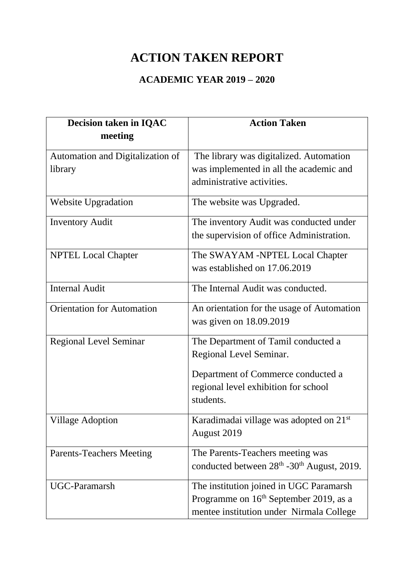## **ACTION TAKEN REPORT**

## **ACADEMIC YEAR 2019 – 2020**

| Decision taken in IQAC            | <b>Action Taken</b>                                                |
|-----------------------------------|--------------------------------------------------------------------|
| meeting                           |                                                                    |
| Automation and Digitalization of  | The library was digitalized. Automation                            |
| library                           | was implemented in all the academic and                            |
|                                   | administrative activities.                                         |
|                                   |                                                                    |
| <b>Website Upgradation</b>        | The website was Upgraded.                                          |
| <b>Inventory Audit</b>            | The inventory Audit was conducted under                            |
|                                   | the supervision of office Administration.                          |
| <b>NPTEL Local Chapter</b>        | The SWAYAM -NPTEL Local Chapter                                    |
|                                   | was established on 17.06.2019                                      |
| <b>Internal Audit</b>             | The Internal Audit was conducted.                                  |
| <b>Orientation for Automation</b> | An orientation for the usage of Automation                         |
|                                   | was given on 18.09.2019                                            |
| <b>Regional Level Seminar</b>     | The Department of Tamil conducted a                                |
|                                   | Regional Level Seminar.                                            |
|                                   | Department of Commerce conducted a                                 |
|                                   | regional level exhibition for school                               |
|                                   | students.                                                          |
| <b>Village Adoption</b>           | Karadimadai village was adopted on 21 <sup>st</sup>                |
|                                   | August 2019                                                        |
| <b>Parents-Teachers Meeting</b>   | The Parents-Teachers meeting was                                   |
|                                   | conducted between 28 <sup>th</sup> -30 <sup>th</sup> August, 2019. |
| <b>UGC-Paramarsh</b>              | The institution joined in UGC Paramarsh                            |
|                                   | Programme on 16 <sup>th</sup> September 2019, as a                 |
|                                   | mentee institution under Nirmala College                           |